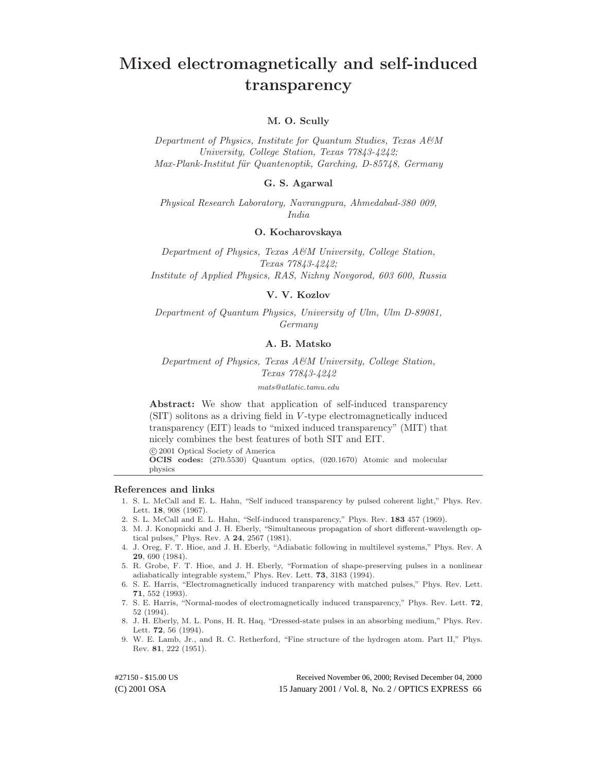# **Mixed electromagnetically and self-induced transparency**

# **M. O. Scully**

*Department of Physics, Institute for Quantum Studies, Texas A&M University, College Station, Texas 77843-4242; Max-Plank-Institut fu¨r Quantenoptik, Garching, D-85748, Germany*

# **G. S. Agarwal**

*Physical Research Laboratory, Navrangpura, Ahmedabad-380 009, India*

## **O. Kocharovskaya**

*Department of Physics, Texas A&M University, College Station, Texas 77843-4242; Institute of Applied Physics, RAS, Nizhny Novgorod, 603 600, Russia*

# **V. V. Kozlov**

*Department of Quantum Physics, University of Ulm, Ulm D-89081, Germany*

## **A. B. Matsko**

*Department of Physics, Texas A&M University, College Station, Texas 77843-4242*

mats@atlatic.tamu.edu

**Abstract:** We show that application of self-induced transparency (SIT) solitons as a driving field in V -type electromagnetically induced transparency (EIT) leads to "mixed induced transparency" (MIT) that nicely combines the best features of both SIT and EIT.

c 2001 Optical Society of America

**OCIS codes:** (270.5530) Quantum optics, (020.1670) Atomic and molecular physics

#### **References and links**

- 1. S. L. McCall and E. L. Hahn, "Self induced transparency by pulsed coherent light," Phys. Rev. Lett. **18**, 908 (1967).
- 2. S. L. McCall and E. L. Hahn, "Self-induced transparency," Phys. Rev. **183** 457 (1969).
- 3. M. J. Konopnicki and J. H. Eberly, "Simultaneous propagation of short different-wavelength optical pulses," Phys. Rev. A **24**, 2567 (1981).
- 4. J. Oreg, F. T. Hioe, and J. H. Eberly, "Adiabatic following in multilevel systems," Phys. Rev. A **29**, 690 (1984).
- 5. R. Grobe, F. T. Hioe, and J. H. Eberly, "Formation of shape-preserving pulses in a nonlinear adiabatically integrable system," Phys. Rev. Lett. **73**, 3183 (1994).
- 6. S. E. Harris, "Electromagnetically induced tranparency with matched pulses," Phys. Rev. Lett. **71**, 552 (1993).
- 7. S. E. Harris, "Normal-modes of electromagnetically induced transparency," Phys. Rev. Lett. **72**, 52 (1994).
- 8. J. H. Eberly, M. L. Pons, H. R. Haq, "Dressed-state pulses in an absorbing medium," Phys. Rev. Lett. **72**, 56 (1994).
- 9. W. E. Lamb, Jr., and R. C. Retherford, "Fine structure of the hydrogen atom. Part II," Phys. Rev. **81**, 222 (1951).

(C) 2001 OSA 15 January 2001 / Vol. 8, No. 2 / OPTICS EXPRESS 66 #27150 - \$15.00 US Received November 06, 2000; Revised December 04, 2000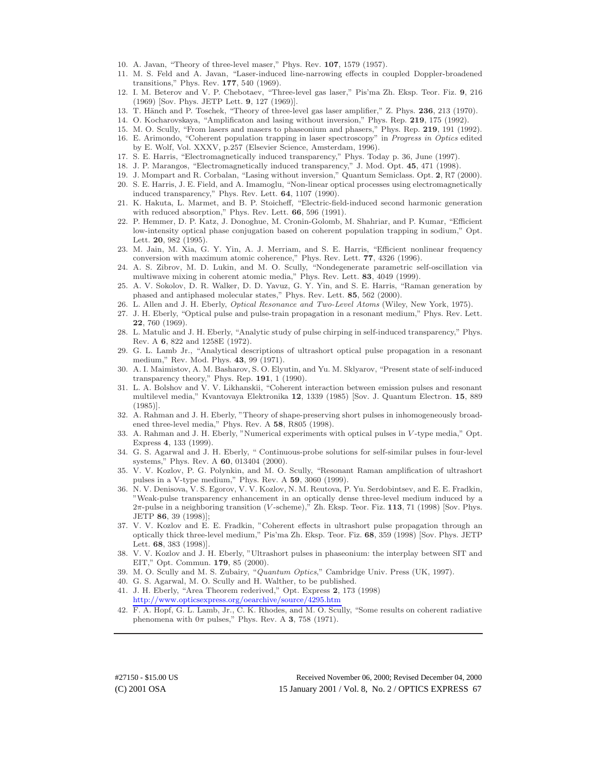- 10. A. Javan, "Theory of three-level maser," Phys. Rev. **107**, 1579 (1957).
- 11. M. S. Feld and A. Javan, "Laser-induced line-narrowing effects in coupled Doppler-broadened transitions," Phys. Rev. **177**, 540 (1969).
- 12. I. M. Beterov and V. P. Chebotaev, "Three-level gas laser," Pis'ma Zh. Eksp. Teor. Fiz. **9**, 216 (1969) [Sov. Phys. JETP Lett. **9**, 127 (1969)].
- 13. T. Hänch and P. Toschek, "Theory of three-level gas laser amplifier," Z. Phys. 236, 213 (1970).
- 14. O. Kocharovskaya, "Amplificaton and lasing without inversion," Phys. Rep. **219**, 175 (1992).
- 15. M. O. Scully, "From lasers and masers to phaseonium and phasers," Phys. Rep. **219**, 191 (1992).
- 16. E. Arimondo, "Coherent population trapping in laser spectroscopy" in Progress in Optics edited by E. Wolf, Vol. XXXV, p.257 (Elsevier Science, Amsterdam, 1996).
- 17. S. E. Harris, "Electromagnetically induced transparency," Phys. Today p. 36, June (1997).
- 18. J. P. Marangos, "Electromagnetically induced transparency," J. Mod. Opt. **45**, 471 (1998).
- 19. J. Mompart and R. Corbalan, "Lasing without inversion," Quantum Semiclass. Opt. **2**, R7 (2000).
- 20. S. E. Harris, J. E. Field, and A. Imamoglu, "Non-linear optical processes using electromagnetically induced transparency," Phys. Rev. Lett. **64**, 1107 (1990).
- 21. K. Hakuta, L. Marmet, and B. P. Stoicheff, "Electric-field-induced second harmonic generation with reduced absorption," Phys. Rev. Lett. **66**, 596 (1991).
- 22. P. Hemmer, D. P. Katz, J. Donoghue, M. Cronin-Golomb, M. Shahriar, and P. Kumar, "Efficient low-intensity optical phase conjugation based on coherent population trapping in sodium," Opt. Lett. **20**, 982 (1995).
- 23. M. Jain, M. Xia, G. Y. Yin, A. J. Merriam, and S. E. Harris, "Efficient nonlinear frequency conversion with maximum atomic coherence," Phys. Rev. Lett. **77**, 4326 (1996).
- 24. A. S. Zibrov, M. D. Lukin, and M. O. Scully, "Nondegenerate parametric self-oscillation via multiwave mixing in coherent atomic media," Phys. Rev. Lett. **83**, 4049 (1999).
- 25. A. V. Sokolov, D. R. Walker, D. D. Yavuz, G. Y. Yin, and S. E. Harris, "Raman generation by phased and antiphased molecular states," Phys. Rev. Lett. **85**, 562 (2000).
- 26. L. Allen and J. H. Eberly, Optical Resonance and Two-Level Atoms (Wiley, New York, 1975).
- 27. J. H. Eberly, "Optical pulse and pulse-train propagation in a resonant medium," Phys. Rev. Lett. **22**, 760 (1969).
- 28. L. Matulic and J. H. Eberly, "Analytic study of pulse chirping in self-induced transparency," Phys. Rev. A **6**, 822 and 1258E (1972).
- 29. G. L. Lamb Jr., "Analytical descriptions of ultrashort optical pulse propagation in a resonant medium," Rev. Mod. Phys. **43**, 99 (1971).
- 30. A. I. Maimistov, A. M. Basharov, S. O. Elyutin, and Yu. M. Sklyarov, "Present state of self-induced transparency theory," Phys. Rep. **191**, 1 (1990).
- 31. L. A. Bolshov and V. V. Likhanskii, "Coherent interaction between emission pulses and resonant multilevel media," Kvantovaya Elektronika **12**, 1339 (1985) [Sov. J. Quantum Electron. **15**, 889 (1985)].
- 32. A. Rahman and J. H. Eberly, "Theory of shape-preserving short pulses in inhomogeneously broadened three-level media," Phys. Rev. A **58**, R805 (1998).
- 33. A. Rahman and J. H. Eberly, "Numerical experiments with optical pulses in V -type media," Opt. Express **4**, 133 (1999).
- 34. G. S. Agarwal and J. H. Eberly, " Continuous-probe solutions for self-similar pulses in four-level systems," Phys. Rev. A **60**, 013404 (2000).
- 35. V. V. Kozlov, P. G. Polynkin, and M. O. Scully, "Resonant Raman amplification of ultrashort pulses in a V-type medium," Phys. Rev. A **59**, 3060 (1999).
- 36. N. V. Denisova, V. S. Egorov, V. V. Kozlov, N. M. Reutova, P. Yu. Serdobintsev, and E. E. Fradkin, "Weak-pulse transparency enhancement in an optically dense three-level medium induced by a 2π-pulse in a neighboring transition (V -scheme)," Zh. Eksp. Teor. Fiz. **113**, 71 (1998) [Sov. Phys. JETP **86**, 39 (1998)];
- 37. V. V. Kozlov and E. E. Fradkin, "Coherent effects in ultrashort pulse propagation through an optically thick three-level medium," Pis'ma Zh. Eksp. Teor. Fiz. **68**, 359 (1998) [Sov. Phys. JETP Lett. **68**, 383 (1998)].
- 38. V. V. Kozlov and J. H. Eberly, "Ultrashort pulses in phaseonium: the interplay between SIT and EIT," Opt. Commun. **179**, 85 (2000).
- 39. M. O. Scully and M. S. Zubairy, "Quantum Optics," Cambridge Univ. Press (UK, 1997).
- 40. G. S. Agarwal, M. O. Scully and H. Walther, to be published.
- 41. J. H. Eberly, "Area Theorem rederived," Opt. Express **2**, 173 (1998) <http://www.opticsexpress.org/oearchive/source/4295.htm>
- 42. F. A. Hopf, G. L. Lamb, Jr., C. K. Rhodes, and M. O. Scully, "Some results on coherent radiative phenomena with  $0\pi$  pulses," Phys. Rev. A **3**, 758 (1971).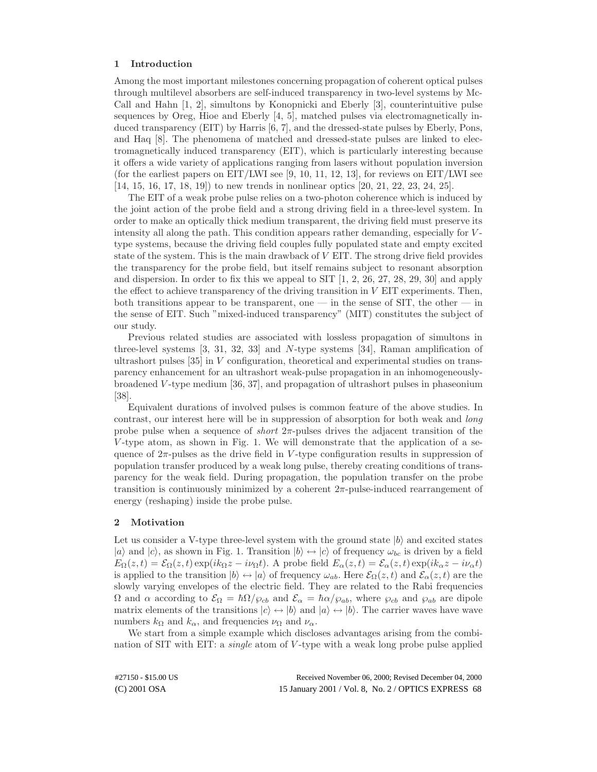## **1 Introduction**

Among the most important milestones concerning propagation of coherent optical pulses through multilevel absorbers are self-induced transparency in two-level systems by Mc-Call and Hahn [1, 2], simultons by Konopnicki and Eberly [3], counterintuitive pulse sequences by Oreg, Hioe and Eberly [4, 5], matched pulses via electromagnetically induced transparency (EIT) by Harris [6, 7], and the dressed-state pulses by Eberly, Pons, and Haq [8]. The phenomena of matched and dressed-state pulses are linked to electromagnetically induced transparency (EIT), which is particularly interesting because it offers a wide variety of applications ranging from lasers without population inversion (for the earliest papers on EIT/LWI see [9, 10, 11, 12, 13], for reviews on EIT/LWI see [14, 15, 16, 17, 18, 19]) to new trends in nonlinear optics [20, 21, 22, 23, 24, 25].

The EIT of a weak probe pulse relies on a two-photon coherence which is induced by the joint action of the probe field and a strong driving field in a three-level system. In order to make an optically thick medium transparent, the driving field must preserve its intensity all along the path. This condition appears rather demanding, especially for  $V$ type systems, because the driving field couples fully populated state and empty excited state of the system. This is the main drawback of V EIT. The strong drive field provides the transparency for the probe field, but itself remains subject to resonant absorption and dispersion. In order to fix this we appeal to SIT [1, 2, 26, 27, 28, 29, 30] and apply the effect to achieve transparency of the driving transition in  $V$  EIT experiments. Then, both transitions appear to be transparent, one — in the sense of SIT, the other — in the sense of EIT. Such "mixed-induced transparency" (MIT) constitutes the subject of our study.

Previous related studies are associated with lossless propagation of simultons in three-level systems [3, 31, 32, 33] and N-type systems [34], Raman amplification of ultrashort pulses [35] in V configuration, theoretical and experimental studies on transparency enhancement for an ultrashort weak-pulse propagation in an inhomogeneouslybroadened V -type medium [36, 37], and propagation of ultrashort pulses in phaseonium [38].

Equivalent durations of involved pulses is common feature of the above studies. In contrast, our interest here will be in suppression of absorption for both weak and *long* probe pulse when a sequence of *short*  $2\pi$ -pulses drives the adjacent transition of the  $V$ -type atom, as shown in Fig. 1. We will demonstrate that the application of a sequence of  $2\pi$ -pulses as the drive field in V-type configuration results in suppression of population transfer produced by a weak long pulse, thereby creating conditions of transparency for the weak field. During propagation, the population transfer on the probe transition is continuously minimized by a coherent  $2\pi$ -pulse-induced rearrangement of energy (reshaping) inside the probe pulse.

## **2 Motivation**

Let us consider a V-type three-level system with the ground state  $|b\rangle$  and excited states  $|a\rangle$  and  $|c\rangle$ , as shown in Fig. 1. Transition  $|b\rangle \leftrightarrow |c\rangle$  of frequency  $\omega_{bc}$  is driven by a field  $E_{\Omega}(z,t) = \mathcal{E}_{\Omega}(z,t) \exp(ik_{\Omega}z - i\nu_{\Omega}t)$ . A probe field  $E_{\alpha}(z,t) = \mathcal{E}_{\alpha}(z,t) \exp(ik_{\alpha}z - i\nu_{\alpha}t)$ is applied to the transition  $|b\rangle \leftrightarrow |a\rangle$  of frequency  $\omega_{ab}$ . Here  $\mathcal{E}_{\Omega}(z, t)$  and  $\mathcal{E}_{\alpha}(z, t)$  are the slowly varying envelopes of the electric field. They are related to the Rabi frequencies  $\Omega$  and  $\alpha$  according to  $\mathcal{E}_{\Omega} = \hbar \Omega / \wp_{cb}$  and  $\mathcal{E}_{\alpha} = \hbar \alpha / \wp_{ab}$ , where  $\wp_{cb}$  and  $\wp_{ab}$  are dipole matrix elements of the transitions  $|c\rangle \leftrightarrow |b\rangle$  and  $|a\rangle \leftrightarrow |b\rangle$ . The carrier waves have wave numbers  $k_{\Omega}$  and  $k_{\alpha}$ , and frequencies  $\nu_{\Omega}$  and  $\nu_{\alpha}$ .

We start from a simple example which discloses advantages arising from the combination of SIT with EIT: a *single* atom of V -type with a weak long probe pulse applied

(C) 2001 OSA 15 January 2001 / Vol. 8, No. 2 / OPTICS EXPRESS 68 #27150 - \$15.00 US Received November 06, 2000; Revised December 04, 2000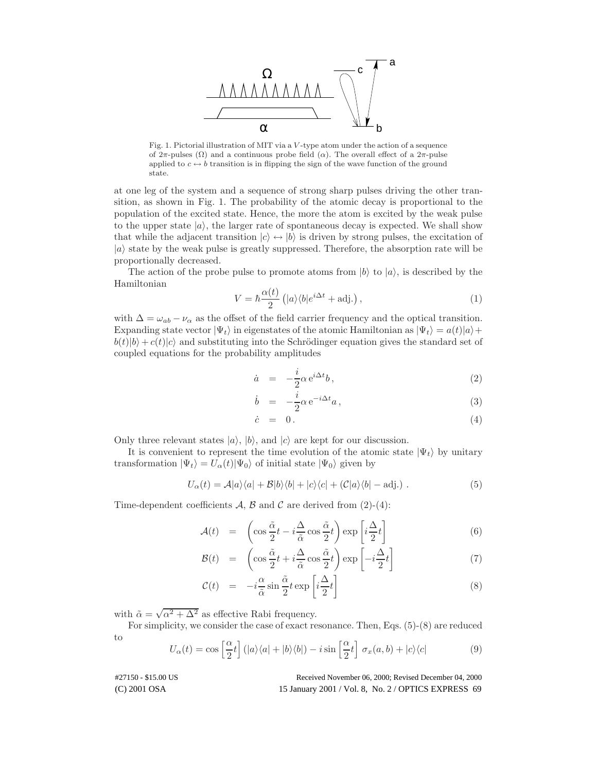

Fig. 1. Pictorial illustration of MIT via a V -type atom under the action of a sequence of  $2\pi$ -pulses  $(\Omega)$  and a continuous probe field  $(\alpha)$ . The overall effect of a  $2\pi$ -pulse applied to  $c \leftrightarrow b$  transition is in flipping the sign of the wave function of the ground state.

at one leg of the system and a sequence of strong sharp pulses driving the other transition, as shown in Fig. 1. The probability of the atomic decay is proportional to the population of the excited state. Hence, the more the atom is excited by the weak pulse to the upper state  $|a\rangle$ , the larger rate of spontaneous decay is expected. We shall show that while the adjacent transition  $|c\rangle \leftrightarrow |b\rangle$  is driven by strong pulses, the excitation of  $|a\rangle$  state by the weak pulse is greatly suppressed. Therefore, the absorption rate will be proportionally decreased.

The action of the probe pulse to promote atoms from  $|b\rangle$  to  $|a\rangle$ , is described by the Hamiltonian

$$
V = \hbar \frac{\alpha(t)}{2} \left( |a\rangle\langle b|e^{i\Delta t} + \text{adj.} \right),\tag{1}
$$

with  $\Delta = \omega_{ab} - \nu_{\alpha}$  as the offset of the field carrier frequency and the optical transition. Expanding state vector  $|\Psi_t\rangle$  in eigenstates of the atomic Hamiltonian as  $|\Psi_t\rangle = a(t)|a\rangle +$  $b(t)|b\rangle + c(t)|c\rangle$  and substituting into the Schrödinger equation gives the standard set of coupled equations for the probability amplitudes

$$
\dot{a} = -\frac{i}{2}\alpha e^{i\Delta t}b, \qquad (2)
$$

$$
\dot{b} = -\frac{i}{2}\alpha e^{-i\Delta t}a, \qquad (3)
$$

$$
\dot{c} = 0. \tag{4}
$$

Only three relevant states  $|a\rangle$ ,  $|b\rangle$ , and  $|c\rangle$  are kept for our discussion.

It is convenient to represent the time evolution of the atomic state  $|\Psi_t\rangle$  by unitary transformation  $|\Psi_t\rangle = U_\alpha(t)|\Psi_0\rangle$  of initial state  $|\Psi_0\rangle$  given by

$$
U_{\alpha}(t) = \mathcal{A}|a\rangle\langle a| + \mathcal{B}|b\rangle\langle b| + |c\rangle\langle c| + (\mathcal{C}|a\rangle\langle b| - \text{adj.}) . \tag{5}
$$

Time-dependent coefficients  $\mathcal{A}, \mathcal{B}$  and  $\mathcal{C}$  are derived from (2)-(4):

$$
\mathcal{A}(t) = \left( \cos \frac{\tilde{\alpha}}{2} t - i \frac{\Delta}{\tilde{\alpha}} \cos \frac{\tilde{\alpha}}{2} t \right) \exp \left[ i \frac{\Delta}{2} t \right] \tag{6}
$$

$$
\mathcal{B}(t) = \left( \cos \frac{\tilde{\alpha}}{2} t + i \frac{\Delta}{\tilde{\alpha}} \cos \frac{\tilde{\alpha}}{2} t \right) \exp \left[ -i \frac{\Delta}{2} t \right] \tag{7}
$$

$$
\mathcal{C}(t) = -i\frac{\alpha}{\tilde{\alpha}}\sin\frac{\tilde{\alpha}}{2}t\exp\left[i\frac{\Delta}{2}t\right]
$$
\n(8)

with  $\tilde{\alpha} = \sqrt{\alpha^2 + \Delta^2}$  as effective Rabi frequency.

For simplicity, we consider the case of exact resonance. Then, Eqs. (5)-(8) are reduced to

$$
U_{\alpha}(t) = \cos\left[\frac{\alpha}{2}t\right] \left(|a\rangle\langle a| + |b\rangle\langle b|\right) - i\sin\left[\frac{\alpha}{2}t\right] \sigma_x(a,b) + |c\rangle\langle c| \tag{9}
$$

(C) 2001 OSA 15 January 2001 / Vol. 8, No. 2 / OPTICS EXPRESS 69 #27150 - \$15.00 US Received November 06, 2000; Revised December 04, 2000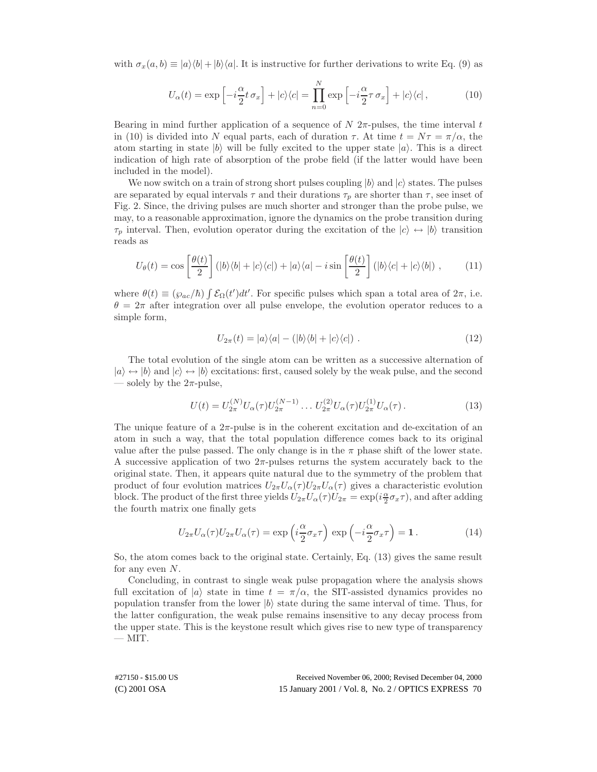with  $\sigma_x(a, b) \equiv |a\rangle\langle b| + |b\rangle\langle a|$ . It is instructive for further derivations to write Eq. (9) as

$$
U_{\alpha}(t) = \exp\left[-i\frac{\alpha}{2}t\,\sigma_x\right] + |c\rangle\langle c| = \prod_{n=0}^{N} \exp\left[-i\frac{\alpha}{2}\tau\,\sigma_x\right] + |c\rangle\langle c| \,,\tag{10}
$$

Bearing in mind further application of a sequence of  $N$  2 $\pi$ -pulses, the time interval t in (10) is divided into N equal parts, each of duration  $\tau$ . At time  $t = N\tau = \pi/\alpha$ , the atom starting in state  $|b\rangle$  will be fully excited to the upper state  $|a\rangle$ . This is a direct indication of high rate of absorption of the probe field (if the latter would have been included in the model).

We now switch on a train of strong short pulses coupling  $|b\rangle$  and  $|c\rangle$  states. The pulses are separated by equal intervals  $\tau$  and their durations  $\tau_p$  are shorter than  $\tau$ , see inset of Fig. 2. Since, the driving pulses are much shorter and stronger than the probe pulse, we may, to a reasonable approximation, ignore the dynamics on the probe transition during  $\tau_p$  interval. Then, evolution operator during the excitation of the  $|c\rangle \leftrightarrow |b\rangle$  transition reads as

$$
U_{\theta}(t) = \cos\left[\frac{\theta(t)}{2}\right] (|b\rangle\langle b| + |c\rangle\langle c|) + |a\rangle\langle a| - i\sin\left[\frac{\theta(t)}{2}\right] (|b\rangle\langle c| + |c\rangle\langle b|) ,\tag{11}
$$

where  $\theta(t) \equiv (\varphi_{ac}/\hbar) \int \mathcal{E}_{\Omega}(t')dt'$ . For specific pulses which span a total area of  $2\pi$ , i.e.  $\theta = 2\pi$  after integration over all pulse envelope, the evolution operator reduces to a simple form,

$$
U_{2\pi}(t) = |a\rangle\langle a| - (|b\rangle\langle b| + |c\rangle\langle c|) . \qquad (12)
$$

The total evolution of the single atom can be written as a successive alternation of  $|a\rangle \leftrightarrow |b\rangle$  and  $|c\rangle \leftrightarrow |b\rangle$  excitations: first, caused solely by the weak pulse, and the second — solely by the  $2\pi$ -pulse,

$$
U(t) = U_{2\pi}^{(N)} U_{\alpha}(\tau) U_{2\pi}^{(N-1)} \dots U_{2\pi}^{(2)} U_{\alpha}(\tau) U_{2\pi}^{(1)} U_{\alpha}(\tau).
$$
\n(13)

The unique feature of a  $2\pi$ -pulse is in the coherent excitation and de-excitation of an atom in such a way, that the total population difference comes back to its original value after the pulse passed. The only change is in the  $\pi$  phase shift of the lower state. A successive application of two  $2\pi$ -pulses returns the system accurately back to the original state. Then, it appears quite natural due to the symmetry of the problem that product of four evolution matrices  $U_{2\pi}U_{\alpha}(\tau)U_{2\pi}U_{\alpha}(\tau)$  gives a characteristic evolution block. The product of the first three yields  $U_{2\pi}U_{\alpha}(\tau)U_{2\pi} = \exp(i\frac{\alpha}{2}\sigma_x\tau)$ , and after adding the fourth matrix one finally gets

$$
U_{2\pi}U_{\alpha}(\tau)U_{2\pi}U_{\alpha}(\tau) = \exp\left(i\frac{\alpha}{2}\sigma_x\tau\right)\exp\left(-i\frac{\alpha}{2}\sigma_x\tau\right) = 1.
$$
 (14)

So, the atom comes back to the original state. Certainly, Eq. (13) gives the same result for any even  $N$ .

Concluding, in contrast to single weak pulse propagation where the analysis shows full excitation of  $|a\rangle$  state in time  $t = \pi/\alpha$ , the SIT-assisted dynamics provides no population transfer from the lower  $|b\rangle$  state during the same interval of time. Thus, for the latter configuration, the weak pulse remains insensitive to any decay process from the upper state. This is the keystone result which gives rise to new type of transparency  $-$  MIT.

(C) 2001 OSA 15 January 2001 / Vol. 8, No. 2 / OPTICS EXPRESS 70 #27150 - \$15.00 US Received November 06, 2000; Revised December 04, 2000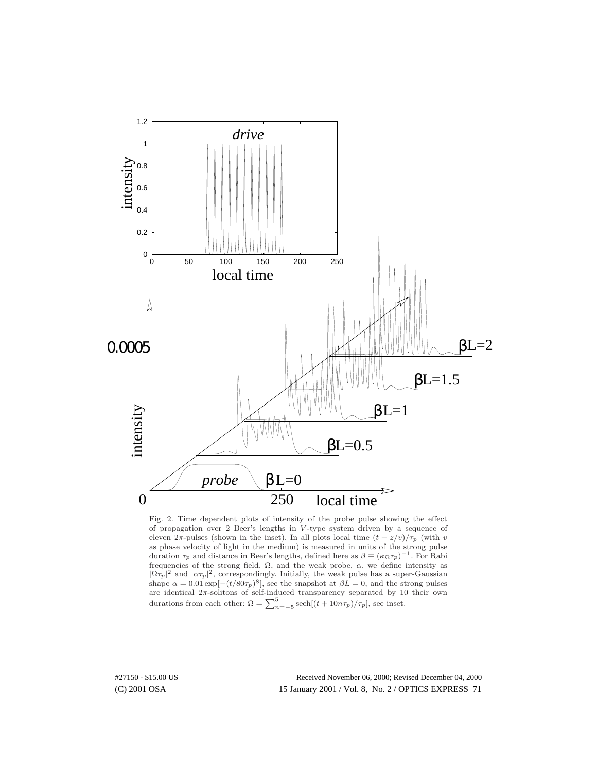

Fig. 2. Time dependent plots of intensity of the probe pulse showing the effect of propagation over 2 Beer's lengths in V -type system driven by a sequence of eleven  $2\pi$ -pulses (shown in the inset). In all plots local time  $(t - z/v)/\tau_p$  (with v as phase velocity of light in the medium) is measured in units of the strong pulse duration  $\tau_p$  and distance in Beer's lengths, defined here as  $\beta \equiv (\kappa_\Omega \tau_p)^{-1}$ . For Rabi frequencies of the strong field,  $\Omega$ , and the weak probe,  $\alpha$ , we define intensity as  $|\Omega \tau_p|^2$  and  $|\alpha \tau_p|^2$ , correspondingly. Initially, the weak pulse has a super-Gaussian shape  $\alpha = 0.01 \exp[-(t/80\tau_p)^8]$ , see the snapshot at  $\beta L = 0$ , and the strong pulses are identical  $2\pi$ -solitons of self-induced transparency separated by 10 their own durations from each other:  $\Omega = \sum_{n=-5}^{5} \text{sech}[(t + 10n\tau_p)/\tau_p]$ , see inset.

(C) 2001 OSA 15 January 2001 / Vol. 8, No. 2 / OPTICS EXPRESS 71 #27150 - \$15.00 US Received November 06, 2000; Revised December 04, 2000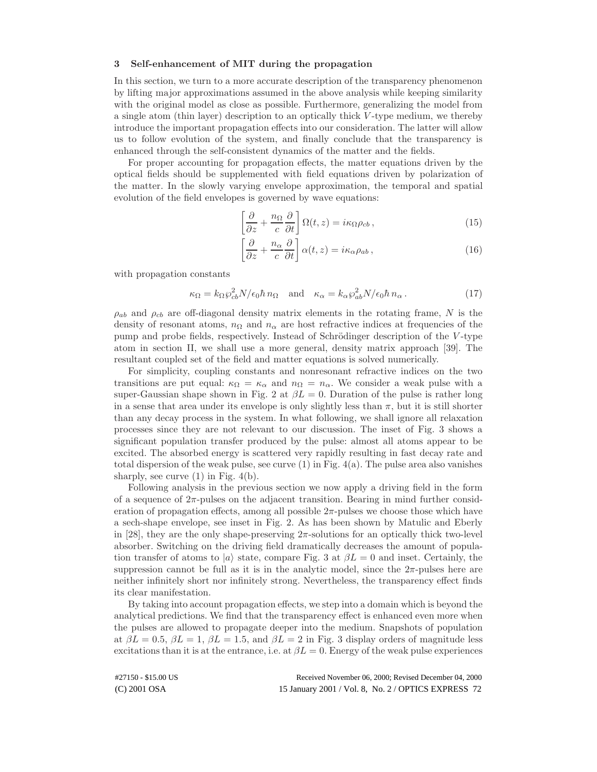#### **3 Self-enhancement of MIT during the propagation**

In this section, we turn to a more accurate description of the transparency phenomenon by lifting major approximations assumed in the above analysis while keeping similarity with the original model as close as possible. Furthermore, generalizing the model from a single atom (thin layer) description to an optically thick V -type medium, we thereby introduce the important propagation effects into our consideration. The latter will allow us to follow evolution of the system, and finally conclude that the transparency is enhanced through the self-consistent dynamics of the matter and the fields.

For proper accounting for propagation effects, the matter equations driven by the optical fields should be supplemented with field equations driven by polarization of the matter. In the slowly varying envelope approximation, the temporal and spatial evolution of the field envelopes is governed by wave equations:

$$
\left[\frac{\partial}{\partial z} + \frac{n_{\Omega}}{c} \frac{\partial}{\partial t}\right] \Omega(t, z) = i\kappa_{\Omega} \rho_{cb},\qquad(15)
$$

$$
\left[\frac{\partial}{\partial z} + \frac{n_{\alpha}}{c} \frac{\partial}{\partial t}\right] \alpha(t, z) = i\kappa_{\alpha} \rho_{ab},\qquad(16)
$$

with propagation constants

$$
\kappa_{\Omega} = k_{\Omega} \wp_{cb}^2 N / \epsilon_0 \hbar n_{\Omega} \quad \text{and} \quad \kappa_{\alpha} = k_{\alpha} \wp_{ab}^2 N / \epsilon_0 \hbar n_{\alpha} \,. \tag{17}
$$

 $\rho_{ab}$  and  $\rho_{cb}$  are off-diagonal density matrix elements in the rotating frame, N is the density of resonant atoms,  $n_{\Omega}$  and  $n_{\alpha}$  are host refractive indices at frequencies of the pump and probe fields, respectively. Instead of Schrödinger description of the V-type atom in section II, we shall use a more general, density matrix approach [39]. The resultant coupled set of the field and matter equations is solved numerically.

For simplicity, coupling constants and nonresonant refractive indices on the two transitions are put equal:  $\kappa_{\Omega} = \kappa_{\alpha}$  and  $n_{\Omega} = n_{\alpha}$ . We consider a weak pulse with a super-Gaussian shape shown in Fig. 2 at  $\beta L = 0$ . Duration of the pulse is rather long in a sense that area under its envelope is only slightly less than  $\pi$ , but it is still shorter than any decay process in the system. In what following, we shall ignore all relaxation processes since they are not relevant to our discussion. The inset of Fig. 3 shows a significant population transfer produced by the pulse: almost all atoms appear to be excited. The absorbed energy is scattered very rapidly resulting in fast decay rate and total dispersion of the weak pulse, see curve  $(1)$  in Fig.  $4(a)$ . The pulse area also vanishes sharply, see curve  $(1)$  in Fig.  $4(b)$ .

Following analysis in the previous section we now apply a driving field in the form of a sequence of  $2\pi$ -pulses on the adjacent transition. Bearing in mind further consideration of propagation effects, among all possible  $2\pi$ -pulses we choose those which have a sech-shape envelope, see inset in Fig. 2. As has been shown by Matulic and Eberly in [28], they are the only shape-preserving  $2\pi$ -solutions for an optically thick two-level absorber. Switching on the driving field dramatically decreases the amount of population transfer of atoms to  $|a\rangle$  state, compare Fig. 3 at  $\beta L = 0$  and inset. Certainly, the suppression cannot be full as it is in the analytic model, since the  $2\pi$ -pulses here are neither infinitely short nor infinitely strong. Nevertheless, the transparency effect finds its clear manifestation.

By taking into account propagation effects, we step into a domain which is beyond the analytical predictions. We find that the transparency effect is enhanced even more when the pulses are allowed to propagate deeper into the medium. Snapshots of population at  $\beta L = 0.5$ ,  $\beta L = 1$ ,  $\beta L = 1.5$ , and  $\beta L = 2$  in Fig. 3 display orders of magnitude less excitations than it is at the entrance, i.e. at  $\beta L = 0$ . Energy of the weak pulse experiences

(C) 2001 OSA 15 January 2001 / Vol. 8, No. 2 / OPTICS EXPRESS 72 #27150 - \$15.00 US Received November 06, 2000; Revised December 04, 2000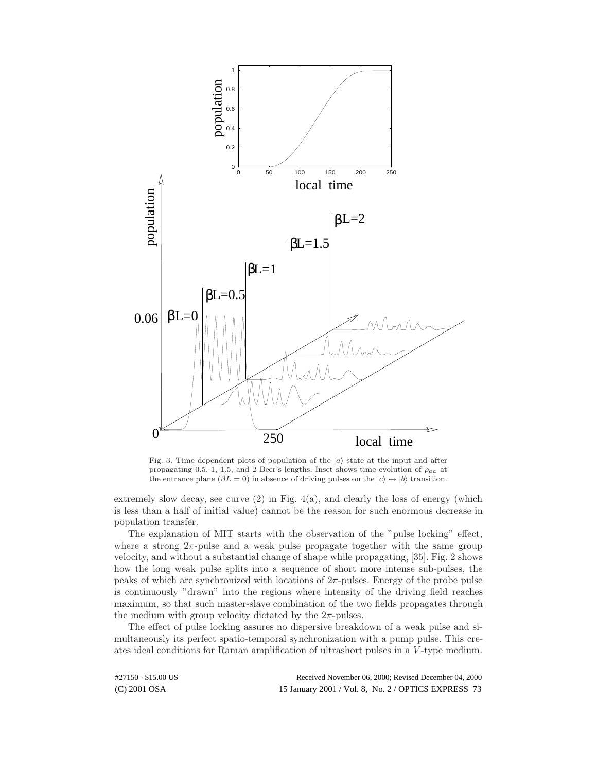

Fig. 3. Time dependent plots of population of the  $|a\rangle$  state at the input and after propagating 0.5, 1, 1.5, and 2 Beer's lengths. Inset shows time evolution of  $\rho_{aa}$  at the entrance plane ( $\beta L = 0$ ) in absence of driving pulses on the  $|c\rangle \leftrightarrow |b\rangle$  transition.

extremely slow decay, see curve (2) in Fig. 4(a), and clearly the loss of energy (which is less than a half of initial value) cannot be the reason for such enormous decrease in population transfer.

The explanation of MIT starts with the observation of the "pulse locking" effect, where a strong  $2\pi$ -pulse and a weak pulse propagate together with the same group velocity, and without a substantial change of shape while propagating, [35]. Fig. 2 shows how the long weak pulse splits into a sequence of short more intense sub-pulses, the peaks of which are synchronized with locations of  $2\pi$ -pulses. Energy of the probe pulse is continuously "drawn" into the regions where intensity of the driving field reaches maximum, so that such master-slave combination of the two fields propagates through the medium with group velocity dictated by the  $2\pi$ -pulses.

The effect of pulse locking assures no dispersive breakdown of a weak pulse and simultaneously its perfect spatio-temporal synchronization with a pump pulse. This creates ideal conditions for Raman amplification of ultrashort pulses in a V -type medium.

(C) 2001 OSA 15 January 2001 / Vol. 8, No. 2 / OPTICS EXPRESS 73 #27150 - \$15.00 US Received November 06, 2000; Revised December 04, 2000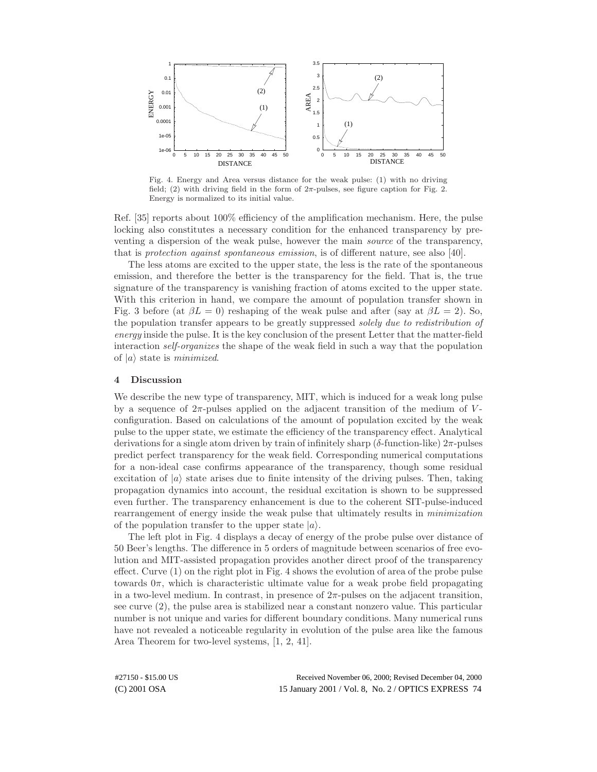

Fig. 4. Energy and Area versus distance for the weak pulse: (1) with no driving field; (2) with driving field in the form of  $2\pi$ -pulses, see figure caption for Fig. 2. Energy is normalized to its initial value.

Ref. [35] reports about 100% efficiency of the amplification mechanism. Here, the pulse locking also constitutes a necessary condition for the enhanced transparency by preventing a dispersion of the weak pulse, however the main *source* of the transparency, that is *protection against spontaneous emission*, is of different nature, see also [40].

The less atoms are excited to the upper state, the less is the rate of the spontaneous emission, and therefore the better is the transparency for the field. That is, the true signature of the transparency is vanishing fraction of atoms excited to the upper state. With this criterion in hand, we compare the amount of population transfer shown in Fig. 3 before (at  $\beta L = 0$ ) reshaping of the weak pulse and after (say at  $\beta L = 2$ ). So, the population transfer appears to be greatly suppressed *solely due to redistribution of energy* inside the pulse. It is the key conclusion of the present Letter that the matter-field interaction *self-organizes* the shape of the weak field in such a way that the population of  $|a\rangle$  state is *minimized*.

#### **4 Discussion**

We describe the new type of transparency, MIT, which is induced for a weak long pulse by a sequence of  $2\pi$ -pulses applied on the adjacent transition of the medium of Vconfiguration. Based on calculations of the amount of population excited by the weak pulse to the upper state, we estimate the efficiency of the transparency effect. Analytical derivations for a single atom driven by train of infinitely sharp ( $\delta$ -function-like)  $2\pi$ -pulses predict perfect transparency for the weak field. Corresponding numerical computations for a non-ideal case confirms appearance of the transparency, though some residual excitation of  $|a\rangle$  state arises due to finite intensity of the driving pulses. Then, taking propagation dynamics into account, the residual excitation is shown to be suppressed even further. The transparency enhancement is due to the coherent SIT-pulse-induced rearrangement of energy inside the weak pulse that ultimately results in *minimization* of the population transfer to the upper state  $|a\rangle$ .

The left plot in Fig. 4 displays a decay of energy of the probe pulse over distance of 50 Beer's lengths. The difference in 5 orders of magnitude between scenarios of free evolution and MIT-assisted propagation provides another direct proof of the transparency effect. Curve (1) on the right plot in Fig. 4 shows the evolution of area of the probe pulse towards  $0\pi$ , which is characteristic ultimate value for a weak probe field propagating in a two-level medium. In contrast, in presence of  $2\pi$ -pulses on the adjacent transition, see curve (2), the pulse area is stabilized near a constant nonzero value. This particular number is not unique and varies for different boundary conditions. Many numerical runs have not revealed a noticeable regularity in evolution of the pulse area like the famous Area Theorem for two-level systems, [1, 2, 41].

(C) 2001 OSA 15 January 2001 / Vol. 8, No. 2 / OPTICS EXPRESS 74 #27150 - \$15.00 US Received November 06, 2000; Revised December 04, 2000